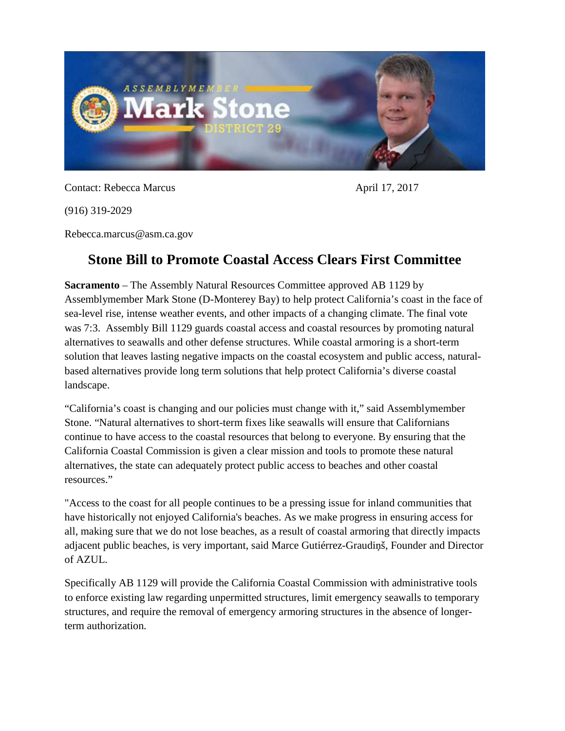

Contact: Rebecca Marcus April 17, 2017

(916) 319-2029

Rebecca.marcus@asm.ca.gov

## **Stone Bill to Promote Coastal Access Clears First Committee**

**Sacramento** – The Assembly Natural Resources Committee approved AB 1129 by Assemblymember Mark Stone (D-Monterey Bay) to help protect California's coast in the face of sea-level rise, intense weather events, and other impacts of a changing climate. The final vote was 7:3. Assembly Bill 1129 guards coastal access and coastal resources by promoting natural alternatives to seawalls and other defense structures. While coastal armoring is a short-term solution that leaves lasting negative impacts on the coastal ecosystem and public access, naturalbased alternatives provide long term solutions that help protect California's diverse coastal landscape.

"California's coast is changing and our policies must change with it," said Assemblymember Stone. "Natural alternatives to short-term fixes like seawalls will ensure that Californians continue to have access to the coastal resources that belong to everyone. By ensuring that the California Coastal Commission is given a clear mission and tools to promote these natural alternatives, the state can adequately protect public access to beaches and other coastal resources."

"Access to the coast for all people continues to be a pressing issue for inland communities that have historically not enjoyed California's beaches. As we make progress in ensuring access for all, making sure that we do not lose beaches, as a result of coastal armoring that directly impacts adjacent public beaches, is very important, said Marce Gutiérrez-Graudiņš, Founder and Director of AZUL.

Specifically AB 1129 will provide the California Coastal Commission with administrative tools to enforce existing law regarding unpermitted structures, limit emergency seawalls to temporary structures, and require the removal of emergency armoring structures in the absence of longerterm authorization.